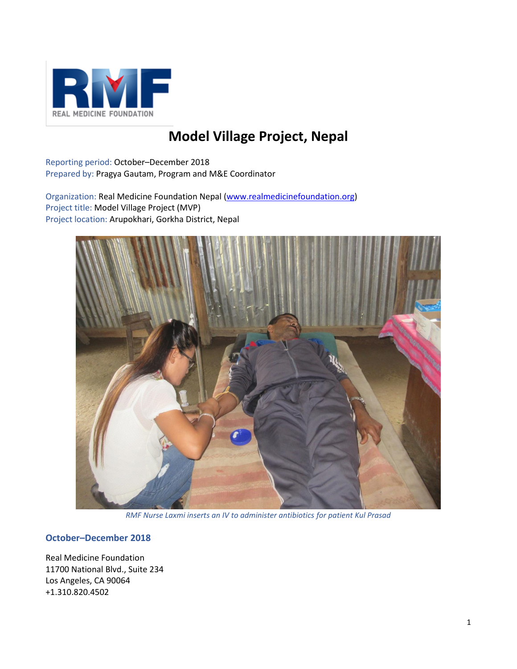

# **Model Village Project, Nepal**

Reporting period: October–December 2018 Prepared by: Pragya Gautam, Program and M&E Coordinator

Organization: Real Medicine Foundation Nepal [\(www.realmedicinefoundation.org\)](http://www.realmedicinefoundation.org/) Project title: Model Village Project (MVP) Project location: Arupokhari, Gorkha District, Nepal



*RMF Nurse Laxmi inserts an IV to administer antibiotics for patient Kul Prasad*

# **October–December 2018**

Real Medicine Foundation 11700 National Blvd., Suite 234 Los Angeles, CA 90064 +1.310.820.4502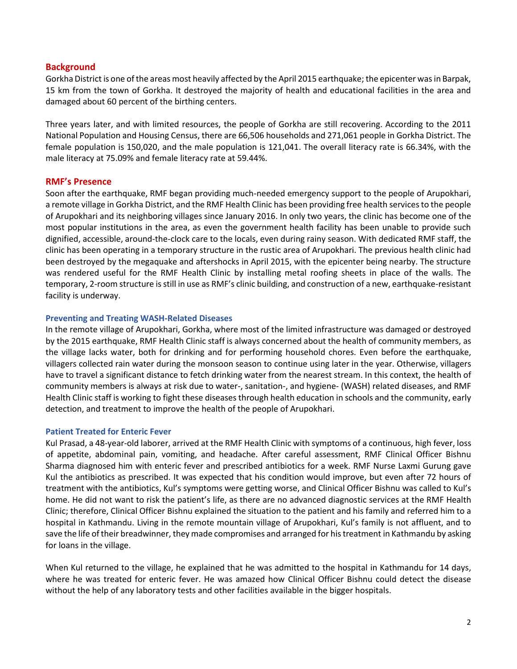## **Background**

Gorkha District is one of the areas most heavily affected by the April 2015 earthquake; the epicenter was in Barpak, 15 km from the town of Gorkha. It destroyed the majority of health and educational facilities in the area and damaged about 60 percent of the birthing centers.

Three years later, and with limited resources, the people of Gorkha are still recovering. According to the 2011 National Population and Housing Census, there are 66,506 households and 271,061 people in Gorkha District. The female population is 150,020, and the male population is 121,041. The overall literacy rate is 66.34%, with the male literacy at 75.09% and female literacy rate at 59.44%.

### **RMF's Presence**

Soon after the earthquake, RMF began providing much-needed emergency support to the people of Arupokhari, a remote village in Gorkha District, and the RMF Health Clinic has been providing free health services to the people of Arupokhari and its neighboring villages since January 2016. In only two years, the clinic has become one of the most popular institutions in the area, as even the government health facility has been unable to provide such dignified, accessible, around-the-clock care to the locals, even during rainy season. With dedicated RMF staff, the clinic has been operating in a temporary structure in the rustic area of Arupokhari. The previous health clinic had been destroyed by the megaquake and aftershocks in April 2015, with the epicenter being nearby. The structure was rendered useful for the RMF Health Clinic by installing metal roofing sheets in place of the walls. The temporary, 2-room structure is still in use as RMF's clinic building, and construction of a new, earthquake-resistant facility is underway.

#### **Preventing and Treating WASH-Related Diseases**

In the remote village of Arupokhari, Gorkha, where most of the limited infrastructure was damaged or destroyed by the 2015 earthquake, RMF Health Clinic staff is always concerned about the health of community members, as the village lacks water, both for drinking and for performing household chores. Even before the earthquake, villagers collected rain water during the monsoon season to continue using later in the year. Otherwise, villagers have to travel a significant distance to fetch drinking water from the nearest stream. In this context, the health of community members is always at risk due to water-, sanitation-, and hygiene- (WASH) related diseases, and RMF Health Clinic staff is working to fight these diseases through health education in schools and the community, early detection, and treatment to improve the health of the people of Arupokhari.

#### **Patient Treated for Enteric Fever**

Kul Prasad, a 48-year-old laborer, arrived at the RMF Health Clinic with symptoms of a continuous, high fever, loss of appetite, abdominal pain, vomiting, and headache. After careful assessment, RMF Clinical Officer Bishnu Sharma diagnosed him with enteric fever and prescribed antibiotics for a week. RMF Nurse Laxmi Gurung gave Kul the antibiotics as prescribed. It was expected that his condition would improve, but even after 72 hours of treatment with the antibiotics, Kul's symptoms were getting worse, and Clinical Officer Bishnu was called to Kul's home. He did not want to risk the patient's life, as there are no advanced diagnostic services at the RMF Health Clinic; therefore, Clinical Officer Bishnu explained the situation to the patient and his family and referred him to a hospital in Kathmandu. Living in the remote mountain village of Arupokhari, Kul's family is not affluent, and to save the life of their breadwinner, they made compromises and arranged for his treatment in Kathmandu by asking for loans in the village.

When Kul returned to the village, he explained that he was admitted to the hospital in Kathmandu for 14 days, where he was treated for enteric fever. He was amazed how Clinical Officer Bishnu could detect the disease without the help of any laboratory tests and other facilities available in the bigger hospitals.